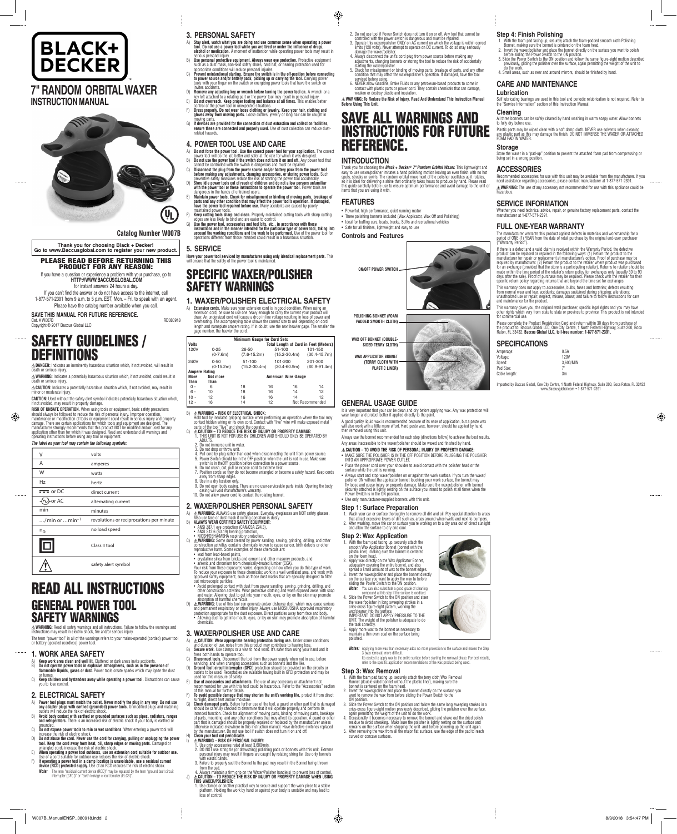



## **Catalog Number W007B**

Cat. # W007B RD080918 Copyright © 2017 Baccus Global LLC

**Thank you for choosing Black + Decker! Go to www.Baccusglobal.com to register your new product.**

PLEASE READ BEFORE RETURNING THIS PRODUCT FOR ANY REASON:

**DANGER:** Indicates an imminently hazardous situation which, if not avoided, will result in ath or serious injury.

**SAVE THIS MANUAL FOR FUTURE REFERENCE.** Please have the catalog number available when you call.

If you have a question or experience a problem with your purchase, go to **HTTP://WWW.BACCUSGLOBAL.COM** for instant answers 24 hours a day.

If you can't find the answer or do not have access to the internet, call 1-877-571-2391 from 9 a.m. to 5 p.m. EST, Mon. – Fri. to speak with an agent.

inor or moderate injury. **CAUTION:** Used without the safety alert symbol indicates potentially hazardous situation which,

# SAFETY GUIDELINES / DEFINITIONS

**RISK OF UNSAFE OPERATION.** When using tools or equipment, basic safety precautions<br>should always be followed to reduce the risk of personal injury. Improper operation,<br>maintenance or modification of tools or equipment cou operating instructions before using any tool or equipment.

**WARNING:** Indicates a potentially hazardous situation which, if not avoided, could result in death or serious injury. **CAUTION:** Indicates a potentially hazardous situation which, if not avoided, may result in

if not avoided, may result in property damage.

 $\triangle$ **WARNING:** Read all safety warnings and all instructions. Failure to follow the warnings and<br>instructions may result in electric shock, fire and/or serious injury. The term "power tool" in all of the warnings refers to your mains-operated (corded) power tool or battery-operated (cordless) power tool.

- 
- A) Keep work area clean and well lit. Cluttered or dark areas invite accidents.<br>B) Do not operate power tools in explosive atmospheres, such as in the presence of<br>Tlammable liquids, gases or dust. Power tools create sp
- 
- or fumes. C) **Keep children and bystanders away while operating a power tool.** Distractions can cause you to lose control.

*The label on your tool may contain the following symbols:*

⊕

| V                                           | volts                                    |
|---------------------------------------------|------------------------------------------|
| A                                           | amperes                                  |
| W                                           | watts                                    |
| Hz                                          | hertz                                    |
| <br>$=$ or DC                               | direct current                           |
| ∿-or AC                                     | alternating current                      |
| min                                         | minutes                                  |
| $\ldots$ /min or $\ldots$ min <sup>-1</sup> | revolutions or reciprocations per minute |
| $n_{\rm O}$                                 | no load speed                            |
|                                             | Class II tool                            |
|                                             | safety alert symbol                      |

- **3. PERSONAL SAFETY**
- A) **Stay alert, watch what you are doing and use common sense when operating a power tool. Do not use a power tool while you are tired or under the influence of drugs,**
- 
- alcohol or medication. A moment of inattention while operating power tools may result in<br>By the personal prighty.<br>B) Use personal protective equipment. Always wear eye protection. Protective equipment<br>such as a dust mask,
- D) **Remove any adjusting key or wrench before turning the power tool on.** A wrench or a key left attached to a rotating part or the power tool may result in personal injury.<br>E) Do not overreach. Keep proper footing and balance at all times. This enables better<br>control of the power tool in unexpected situation
- F) **Dress properly. Do not wear loose clothing or jewelry. Keep your hair, clothing and gloves away from moving parts.** Loose clothes, jewelry or long hair can be caught in
- moving parts.<br>**G) If devices are provided for the connection of dust extraction and collection facilities,<br><b>ensure these are connected and properly used.** Use of dust collection can reduce dust-<br>related hazards.

# READ ALL INSTRUCTIONS GENERAL POWER TOOL SAFETY WARNINGS

## **1. WORK AREA SAFETY**

- A) **Do not force the power tool. Use the correct power tool for your application.** The correct
- By power tool will do the job better and safer at the rate for which it was designed.<br>B) Do not use the power tool if the switch ideas not turn it on and off. Any power tool that<br>cannot be controlled with the switch is dan
- 
- **with the power tool or these instructions to operate the power tool.** Power tools are dangerous in the hands of untrained users. E) **Maintain power tools. Check for misalignment or binding of moving parts, breakage of parts and any other condition that may affect the power tool's operation. If damaged, have the power tool repaired before use.** Many accidents are caused by poorly
- 
- maintained power tools.<br>
F) **Keep cutting tools sharp and clean**. Properly maintained cutting tools with sharp cutting<br>
edges are less likely to bind and are easier to control.<br>
G) **Use the power tool, accessories and tool**
- 

# **2. ELECTRICAL SAFETY**

- A) Power tool plugs must match the outlet. Never modify the plug in any way. Do not use<br>any adapter plugs with earthed (grounded) power tools. Unmodified plugs and matching<br>outlets will reduce the risk of electric shock.
- B) **Avoid body contact with earthed or grounded surfaces such as pipes, radiators, ranges and refrigerators.** There is an increased risk of electric shock if your body is earthed or
- grounded. C) **Do not expose power tools to rain or wet conditions**. Water entering a power tool will
- increase the risk of electric shock. D) **Do not abuse the cord. Never use the cord for carrying, pulling or unplugging the power tool. Keep the cord away from heat, oil, sharp edges or moving parts.** Damaged or<br>entangled cords increase the risk of electric shock.
- E) When operating a power tool outdoors, use an extension cord suitable for outdoor use.<br>E) When operating a power tool outdoors, use an extension cord suitable for outdoor use. able for outdoor use reduces the risk of electric shock.
- F) If **operating a power tool in a damp location is unavoidable, use a residual current<br>device (RCD) protected supply. Use of an RCD reduces the risk of electric shock.<br>***Note:* **The term "residual current device (RCD)" may**
- 

- 
- Trees both hands to operate tool.<br> **C)** Disconnect tools. Disconnect the tool from the power supply when not in use, before<br>
servicing, and when changing accessories such as bonnets and the like.<br> **D) Ground fault circui**
- recommended for use with this tool could be hazardous. Refer to the "Accessories" section
- of this manual for further details.<br>To avoid possible damage that may shorten the unit's working life, protect it from direct
- For To avoid possible damage that may shorten the unit's working life, protect it from direct<br>G) Check damaged parts. Before further use of the tool, a guard or other part that is damaged<br>should be carefully checked to de

A) **Extension cords.** Make sure your extension cord is in good condition. When using an extension cord, be sure to use one heavy enough to carry the current your product will<br>draw. An undersized cord will cause a drop in line voltage resulting in loss of power and<br>overheating. The accompanying table shows the

- 
- 
- 
- A)  $\triangle$  WARNING: ALWAYS use safety glasses. Everyday eyeglasses are NOT safety glasses.<br>
Also use face or dust mask if cutting operation is dusty.<br>
B) ALWAYS WEAR CERTIFIED SAFETY EQUIPMENT:<br>
 ANSI 287.1 eye protection (C construction activities contains chemicals known to cause cancer, birth defects or other
- reproductive harm. Some examples of these chemicals are:
- 
- lead from lead-based paints,<br>• crystalline slica from bricks and cement and other masonry products, and<br>• arsenic and chromium from chemically-treated lumber (CCA).<br>Your risk from these exposures varies, depending on how
- Avoid prolonged contact with dust from power sanding, sawing, grinding, drilling, and<br>other construction activities. Wear protective clothing and wash exposed areas with soap<br>and water. Allowing dust to get into your mou absorption of harmful chemicals.
- D) **WARNING:** Use of this tool can generate and/or disburse dust, which may cause serious and permanent respiratory or other injury. Always use NIOSH/OSHA approved respiratory protection appropriate for the dust exposure. Direct particles away from face and body. • Allowing dust to get into mouth, eyes, or lay on skin may promote absorption of harmful chemicals.

### **4. POWER TOOL USE AND CARE**

### **5. SERVICE**

**Have your power tool serviced by manufacturer using only identical replacement parts.** This<br>will ensure that the safety of the power tool is maintained.

# SPECIFIC WAXER/POLISHER SAFETY WARNINGS

#### **1. WAXER/POLISHER ELECTRICAL SAFETY**

A good quality liquid wax is recommended because of its ease of application, but a paste wax will also work with a little more effort. Hard paste wax, however, should be applied by hand, wed using this unit.

|                      |             | <b>Minimum Gauge for Cord Sets</b>    |                  |                  |  |  |  |
|----------------------|-------------|---------------------------------------|------------------|------------------|--|--|--|
| <b>Volts</b>         |             | Total Length of Cord in Feet (Meters) |                  |                  |  |  |  |
| 120V                 | $0 - 25$    | $26 - 50$                             | 51-100           | 101-150          |  |  |  |
|                      | $(0-7.6m)$  | $(7.6 - 15.2m)$                       | $(15.2 - 30.4m)$ | $(30.4 - 45.7m)$ |  |  |  |
| 240V                 | $0 - 50$    | 51-100                                | 101-200          | 201-300          |  |  |  |
|                      | $(0-15.2m)$ | $(15.2 - 30.4m)$                      | $(30.4 - 60.9m)$ | $(60.9 - 91.4m)$ |  |  |  |
| <b>Ampere Rating</b> |             |                                       |                  |                  |  |  |  |
| <b>More</b>          | Not more    | <b>American Wire Gauge</b>            |                  |                  |  |  |  |
| Than                 | Than        |                                       |                  |                  |  |  |  |
| 0 -                  | 6           | 18                                    | 16<br>16         | 14               |  |  |  |
| $6 -$                | 10          | 18                                    | 16<br>14         | 12               |  |  |  |
|                      | 12          | 16                                    | 16<br>14         | 12               |  |  |  |
|                      |             |                                       |                  |                  |  |  |  |

- **CAUTION TO AVOID THE RISK OF PERSONAL INJURY OR PROPERTY DAMAGE:**
- MAKE SURE THE POLISHER IS IN THE OFF POSITION BEFORE PLUGGING THE POLISHER INTO AN APPROPRIATE POWER OUTLET. • Place the power cord over your shoulder to avoid contact with the polisher head or the surface while the unit is running.
- Always start and stop waxer/polisher on or against the work surface. If you turn the waxer/ polisher ON without the applicator bonnet touching your work surface, the bonnet may<br>fly loose and cause injury or property damage. Make sure the waxer/polisher with bonnet<br>securely attached is lightly resting on the surfa
- 

12 - 16 14 12 Not Recommended

1. Wash your car or surface thoroughly to remove all dirt and oil. Pay special attention to areas<br>that attract excessive layers of dirt such as, areas around wheel wells and next to bumpers.<br>2. After washing, move the ca and allow the surface to dry and cool.

- B) **WARNING RISK OF ELECTRICAL SHOCK:**
- Hold tool by insulated gripping surface when performing an operation where the tool may<br>contact hidden wiring or its own cord. Contact with "live" wire will make exposed metal<br>cats of the tool "live" and shock the operator
	- 2. Do not immerse unit in water.
- Do not drop or throw unit.
- 4. Pull cord by plug rather than cord when disconnecting the unit from power source.
- 5. Power Switch should be in the OFF position when the unit is not in use. Make sure<br>switch is in theOFF position before connection to a power source.<br>6. Do not crush, cut, pull or expose cord to extreme heat.<br>7. Position
- 
- away from sharp edges. 8. Use in a dry location only. 9. Do not open body casing. There are no user-serviceable parts inside. Opening the body
- casing will void manufacturer's warranty. 10. Do not allow power cord to contact the rotating bonnet.

3 (wax removal) more difficult. It's easiest to apply wax to the entire surface before starting the removal phase. For best results, efer to the specific application recommendations of the wax product being used.

### **2. WAXER/POLISHER PERSONAL SAFETY**

- 1. With the foam pad facing up, securely attach the foam-padded smooth cloth Polishing<br>2. Invert the waxer/polisher and place the bonnet directly on the surface you want to polish<br>2. Invert the waxer/polisher and place the
- previously, gliding the polisher over the surface, again permitting the weight of the unit to do the work.

being set in a wrong position. **ACCESSORIES**

## **3. WAXER/POLISHER USE AND CARE**

A) **CAUTION: Wear appropriate hearing protection during use.** Under some conditions and duration of use, noise from this product may contribute to hearing loss. B) **Secure work.** Use clamps or a vise to hold work. It's safer than using your hand and it

- 
- 
- 1. Use only accessories rated at least 3,600/min. 2. DO NOT use string tie (or drawstring) polishing pads or bonnets with this unit. Extreme personal injury may result if fingers are caught by rotating string tie. Use only bonnets with elastic bands.
- 3. Failure to properly seat the Bonnet to the pad may result in the Bonnet being thrown<br>from the pad.
- from the pad. 4. Always maintain a firm grip on the Waxer/Polisher handle(s) to prevent loss of control. J) **CAUTION TO REDUCE THE RISK OF INJURY OR PROPERTY DAMAGE WHEN USING**

**THIS WAXER/POLISHER:** 1. Use clamps or another practical way to secure and support the work piece to a stable platform. Holding the work by hand or against your body is unstable and may lead to loss of control.

- 2. Do not use tool if Power Switch does not turn it on or off. Any tool that cannot be controlled with the power switch is dangerous and must be repaired.<br>3. Operate this waxer/polisher ONLY on AC current on which the voltage is within correct<br>limits (120 volts). Never attempt to operate on DC current. To do
- damage the waxer/polisher.<br>4. Always disconnect the unit's cord plug from power source before making any<br>adjustments, changing bonnets or storing the tool to reduce the risk of accidentally<br>starting the waxer/polisher.<br>5.
- condition that may affect the waxer/polisher's operation. If damaged, have the tool
- serviced before using. 6. NEVER allow Gasoline, Brake Fluids or any petroleum-based products to come in contact with plastic parts or power cord. They contain chemicals that can damage, weaken or destroy plastic and insulation.

 $\triangle$ WARNING: To Reduce the Risk of Injury, Read And Understand This Instruction Manual<br>Before Using This Unit.

# SAVE ALL WARNINGS AND INSTRUCTIONS FOR FUTURE REFERENCE.

# **INTRODUCTION**

Thank you for choosing the *Black + Decker® 7" Random Orbital Waxer.* This lightweight and easy to use waxer/polisher imitates a hand polishing motion leaving an even finish with no hot<br>spots, streaks or swirls. The random orbital movement of the polisher oscillates as it rotates,<br>so it is ideal for delivering a this guide carefully before use to ensure optimum performance and avoid damage to the unit or items that you are using it with.

### **FEATURES**

 $\bigoplus$ 

- Powerful, high performance, quiet running motor
- Three polishing bonnets included (Wax Applicator, Wax Off and Polishing)
- Ideal for buffing cars, boats, trucks, SUVs and recreational vehicles
- Safe for all finishes, lightweight and easy to use

### **Controls and Features**



## **GENERAL USAGE GUIDE**

It is very important that your car be clean and dry before applying wax. Any wax protection will wear longer and protect better if applied directly to the paint.

Always use the bonnet recommended for each step (directions follow) to achieve the best results. Any areas inaccessible to the waxer/polisher should be waxed and finished by hand.

• Use only manufacturer-supplied bonnets with this unit.

### **Step 1: Surface Preparation**

## **Step 2: Wax Application**

- 1. With the foam pad facing up, securely attach the smooth Wax Applicator Bonnet (bonnet with the plastic liner), making sure the bonnet is centered<br>on the foam head.
- on the foam head.<br>
2. Apply wax directly on the Wax Applicator Bonnet,<br>
adequately covering the entire bonnet. and also<br>
spread a small amount of wax to the bonnet edges.<br>
3. Invert the waxer/polisher and place the bonnet
- *Note:* You can also substitute a good grade of cleaning

compound at this step if the surface is oxidized. 4. Slide the Power Switch to the ON position and steer the waxer/polisher in long sweeping strokes in a criss-cross figure-eight pattern, working the wax/cleaner into the surface. IMPORTANT: DO NOT APPLY PRESSURE TO THE UNIT. The weight of the polisher is adequate to do the task correctly. 5. Apply more wax to the bonnet as necessary to

maintain a thin even coat on the surface being polished.

*Notes:* Applying more wax than necessary adds no more protection to the surface and makes the Step

#### **Step 3: Wax Removal**

- 1. With the foam pad facing up, securely attach the terry cloth Wax Removal Bonnet (double-sided bonnet without the plastic liner), making sure the
- bonnet is centered on the foam head. 2. Invert the waxer/polisher and place the bonnet directly on the surface you want to remove the wax from before sliding the Power Switch to the

- 
- ON position.<br>
Sidio the Power Switch to the ON position and follow the same long sweeping strokes in a<br>
criss-cross figure-eight motion previously described, gliding the polisher over the surface,<br>
again permitting the wei

#### **Step 4: Finish Polishing**

4. Small areas, such as near and around mirrors, should be finished by hand.

**CARE AND MAINTENANCE**

**Lubrication**

Self lubricating bearings are used in this tool and periodic relubrication is not required. Refer to the "Service Information" section of this Instruction Manual.

**Cleaning**

All three bonnets can be safely cleaned by hand washing in warm soapy water. Allow bonnets

Plastic parts may be wiped clean with a soft damp cloth. NEVER use solvents when cleaning<br>any plastic part as this may damage the finish. DO NOT IMMERSE THE WAXER OR ATTACHED<br>FOAM PAD IN WATER.

to fully dry before use.

**Storage**

Store the waxer in a "pad-up" position to prevent the attached foam pad from compressing or

Recommended accessories for use with this unit may be available from the manufacturer. If you need assistance regarding accessories, please contact manufacturer at 1-877-571-2391. **WARNING:** The use of any accessory not recommended for use with this appliance could be

hazardous.

**SERVICE INFORMATION**

Whether you need technical advice, repair, or genuine factory replacement parts, contact the manufacturer at 1-877-571-2391.

**FULL ONE-YEAR WARRANTY**

The manufacturer warrants this product against defects in materials and workmanship for a period of ONE (1) YEAR from the date of retail purchase by the original end-user purchaser ("Warranty Period").

If there is a defect and a valid claim is received within the Warranty Period, the defective<br>product can be replaced or repaired in the following ways: (1) Return the product to the<br>manufacturer for repair or replacement a

This warranty does not apply to accessories, bulbs, fuses and batteries; defects resulting from normal wear and tear, accidents; damages sustained during shipping; alterations;<br>unauthorized use or repair; neglect, misuse, abuse; and failure to follow instructions for care<br>and maintenance for the product. This warranty gives you, the original retail purchaser, specific legal rights and you may have other rights which vary from state to state or province to province. This product is not intended

Please complete the Product Registration Card and return within 30 days from purchase of<br>the product to: Baccus Global LLC, One City Centre, 1 North Federal Highway, Suite 200, Boca<br>Raton, FL 33432. **Baccus Global LLC, tol** 

for commercial use.

Voltage:

Cable length

**SPECIFICATIONS**

Amperage: 0.5A<br>Voltage: 120V

Speed: 3,600/MIN Pad Size:  $7^{\degree}$ <br>Cable length:  $3\text{m}$ 

Imported by Baccus Global, One City Centre, 1 North Federal Highway, Suite 200, Boca Raton, FL 33432 www.Baccusglobal.com • 1-877-571-2391

⊕